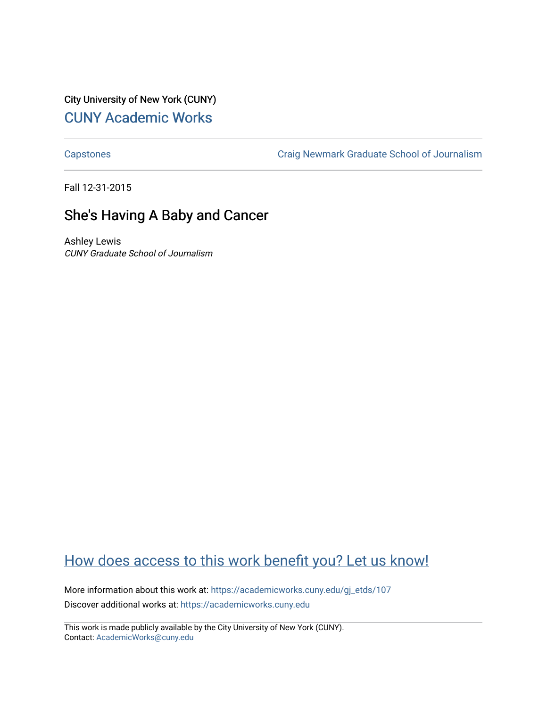City University of New York (CUNY) [CUNY Academic Works](https://academicworks.cuny.edu/) 

[Capstones](https://academicworks.cuny.edu/gj_etds) [Craig Newmark Graduate School of Journalism](https://academicworks.cuny.edu/gj) 

Fall 12-31-2015

## She's Having A Baby and Cancer

Ashley Lewis CUNY Graduate School of Journalism

# [How does access to this work benefit you? Let us know!](http://ols.cuny.edu/academicworks/?ref=https://academicworks.cuny.edu/gj_etds/107)

More information about this work at: [https://academicworks.cuny.edu/gj\\_etds/107](https://academicworks.cuny.edu/gj_etds/107)  Discover additional works at: [https://academicworks.cuny.edu](https://academicworks.cuny.edu/?)

This work is made publicly available by the City University of New York (CUNY). Contact: [AcademicWorks@cuny.edu](mailto:AcademicWorks@cuny.edu)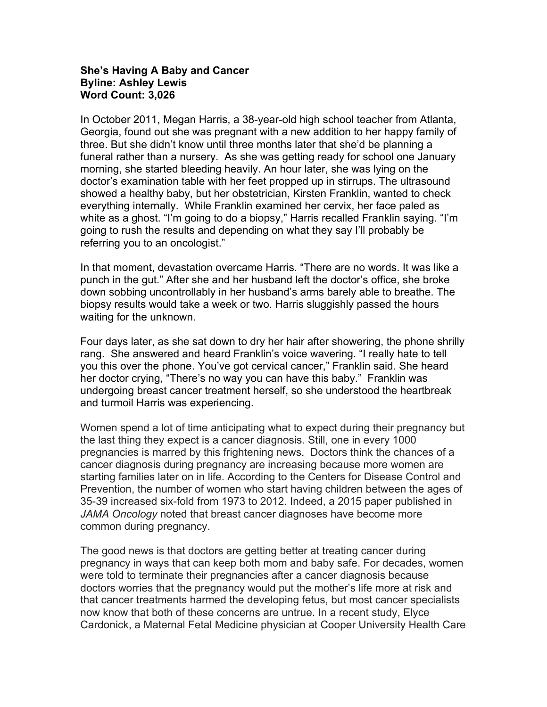### **She's Having A Baby and Cancer Byline: Ashley Lewis Word Count: 3,026**

In October 2011, Megan Harris, a 38-year-old high school teacher from Atlanta, Georgia, found out she was pregnant with a new addition to her happy family of three. But she didn't know until three months later that she'd be planning a funeral rather than a nursery. As she was getting ready for school one January morning, she started bleeding heavily. An hour later, she was lying on the doctor's examination table with her feet propped up in stirrups. The ultrasound showed a healthy baby, but her obstetrician, Kirsten Franklin, wanted to check everything internally. While Franklin examined her cervix, her face paled as white as a ghost. "I'm going to do a biopsy," Harris recalled Franklin saying. "I'm going to rush the results and depending on what they say I'll probably be referring you to an oncologist."

In that moment, devastation overcame Harris. "There are no words. It was like a punch in the gut." After she and her husband left the doctor's office, she broke down sobbing uncontrollably in her husband's arms barely able to breathe. The biopsy results would take a week or two. Harris sluggishly passed the hours waiting for the unknown.

Four days later, as she sat down to dry her hair after showering, the phone shrilly rang. She answered and heard Franklin's voice wavering. "I really hate to tell you this over the phone. You've got cervical cancer," Franklin said. She heard her doctor crying, "There's no way you can have this baby." Franklin was undergoing breast cancer treatment herself, so she understood the heartbreak and turmoil Harris was experiencing.

Women spend a lot of time anticipating what to expect during their pregnancy but the last thing they expect is a cancer diagnosis. Still, one in every 1000 pregnancies is marred by this frightening news. Doctors think the chances of a cancer diagnosis during pregnancy are increasing because more women are starting families later on in life. According to the Centers for Disease Control and Prevention, the number of women who start having children between the ages of 35-39 increased six-fold from 1973 to 2012. Indeed, a 2015 paper published in *JAMA Oncology* noted that breast cancer diagnoses have become more common during pregnancy.

The good news is that doctors are getting better at treating cancer during pregnancy in ways that can keep both mom and baby safe. For decades, women were told to terminate their pregnancies after a cancer diagnosis because doctors worries that the pregnancy would put the mother's life more at risk and that cancer treatments harmed the developing fetus, but most cancer specialists now know that both of these concerns are untrue. In a recent study, Elyce Cardonick, a Maternal Fetal Medicine physician at Cooper University Health Care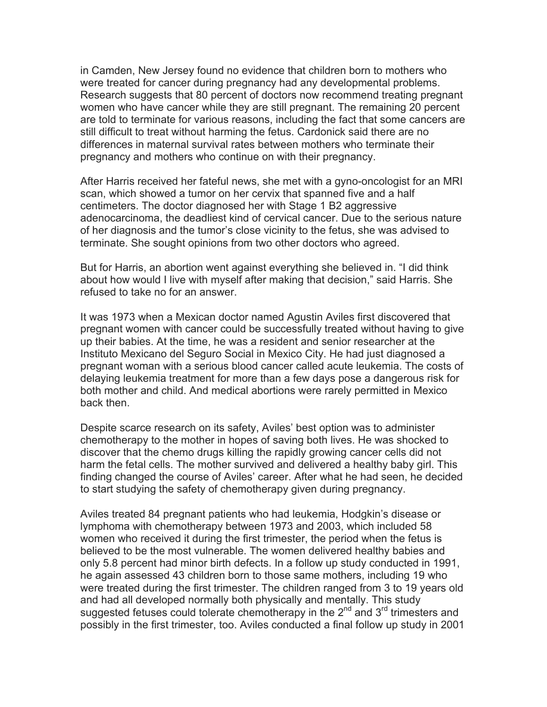in Camden, New Jersey found no evidence that children born to mothers who were treated for cancer during pregnancy had any developmental problems. Research suggests that 80 percent of doctors now recommend treating pregnant women who have cancer while they are still pregnant. The remaining 20 percent are told to terminate for various reasons, including the fact that some cancers are still difficult to treat without harming the fetus. Cardonick said there are no differences in maternal survival rates between mothers who terminate their pregnancy and mothers who continue on with their pregnancy.

After Harris received her fateful news, she met with a gyno-oncologist for an MRI scan, which showed a tumor on her cervix that spanned five and a half centimeters. The doctor diagnosed her with Stage 1 B2 aggressive adenocarcinoma, the deadliest kind of cervical cancer. Due to the serious nature of her diagnosis and the tumor's close vicinity to the fetus, she was advised to terminate. She sought opinions from two other doctors who agreed.

But for Harris, an abortion went against everything she believed in. "I did think about how would I live with myself after making that decision," said Harris. She refused to take no for an answer.

It was 1973 when a Mexican doctor named Agustin Aviles first discovered that pregnant women with cancer could be successfully treated without having to give up their babies. At the time, he was a resident and senior researcher at the Instituto Mexicano del Seguro Social in Mexico City. He had just diagnosed a pregnant woman with a serious blood cancer called acute leukemia. The costs of delaying leukemia treatment for more than a few days pose a dangerous risk for both mother and child. And medical abortions were rarely permitted in Mexico back then.

Despite scarce research on its safety, Aviles' best option was to administer chemotherapy to the mother in hopes of saving both lives. He was shocked to discover that the chemo drugs killing the rapidly growing cancer cells did not harm the fetal cells. The mother survived and delivered a healthy baby girl. This finding changed the course of Aviles' career. After what he had seen, he decided to start studying the safety of chemotherapy given during pregnancy.

Aviles treated 84 pregnant patients who had leukemia, Hodgkin's disease or lymphoma with chemotherapy between 1973 and 2003, which included 58 women who received it during the first trimester, the period when the fetus is believed to be the most vulnerable. The women delivered healthy babies and only 5.8 percent had minor birth defects. In a follow up study conducted in 1991, he again assessed 43 children born to those same mothers, including 19 who were treated during the first trimester. The children ranged from 3 to 19 years old and had all developed normally both physically and mentally. This study suggested fetuses could tolerate chemotherapy in the  $2^{nd}$  and  $3^{rd}$  trimesters and possibly in the first trimester, too. Aviles conducted a final follow up study in 2001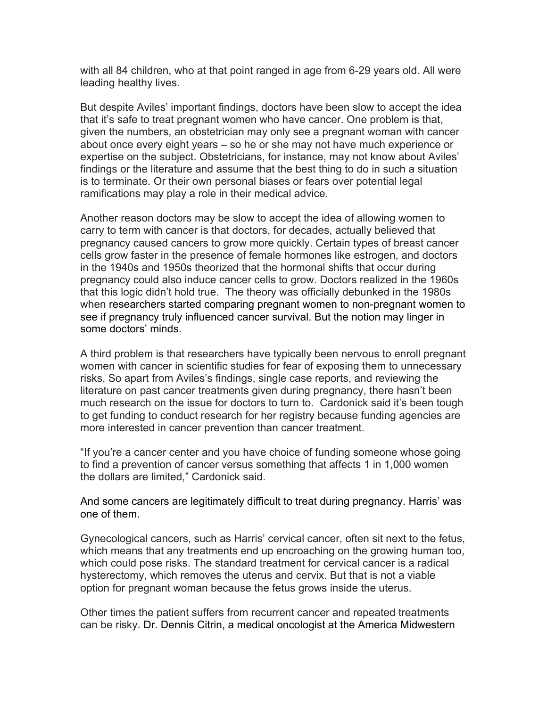with all 84 children, who at that point ranged in age from 6-29 years old. All were leading healthy lives.

But despite Aviles' important findings, doctors have been slow to accept the idea that it's safe to treat pregnant women who have cancer. One problem is that, given the numbers, an obstetrician may only see a pregnant woman with cancer about once every eight years – so he or she may not have much experience or expertise on the subject. Obstetricians, for instance, may not know about Aviles' findings or the literature and assume that the best thing to do in such a situation is to terminate. Or their own personal biases or fears over potential legal ramifications may play a role in their medical advice.

Another reason doctors may be slow to accept the idea of allowing women to carry to term with cancer is that doctors, for decades, actually believed that pregnancy caused cancers to grow more quickly. Certain types of breast cancer cells grow faster in the presence of female hormones like estrogen, and doctors in the 1940s and 1950s theorized that the hormonal shifts that occur during pregnancy could also induce cancer cells to grow. Doctors realized in the 1960s that this logic didn't hold true. The theory was officially debunked in the 1980s when researchers started comparing pregnant women to non-pregnant women to see if pregnancy truly influenced cancer survival. But the notion may linger in some doctors' minds.

A third problem is that researchers have typically been nervous to enroll pregnant women with cancer in scientific studies for fear of exposing them to unnecessary risks. So apart from Aviles's findings, single case reports, and reviewing the literature on past cancer treatments given during pregnancy, there hasn't been much research on the issue for doctors to turn to. Cardonick said it's been tough to get funding to conduct research for her registry because funding agencies are more interested in cancer prevention than cancer treatment.

"If you're a cancer center and you have choice of funding someone whose going to find a prevention of cancer versus something that affects 1 in 1,000 women the dollars are limited," Cardonick said.

And some cancers are legitimately difficult to treat during pregnancy. Harris' was one of them.

Gynecological cancers, such as Harris' cervical cancer, often sit next to the fetus, which means that any treatments end up encroaching on the growing human too, which could pose risks. The standard treatment for cervical cancer is a radical hysterectomy, which removes the uterus and cervix. But that is not a viable option for pregnant woman because the fetus grows inside the uterus.

Other times the patient suffers from recurrent cancer and repeated treatments can be risky. Dr. Dennis Citrin, a medical oncologist at the America Midwestern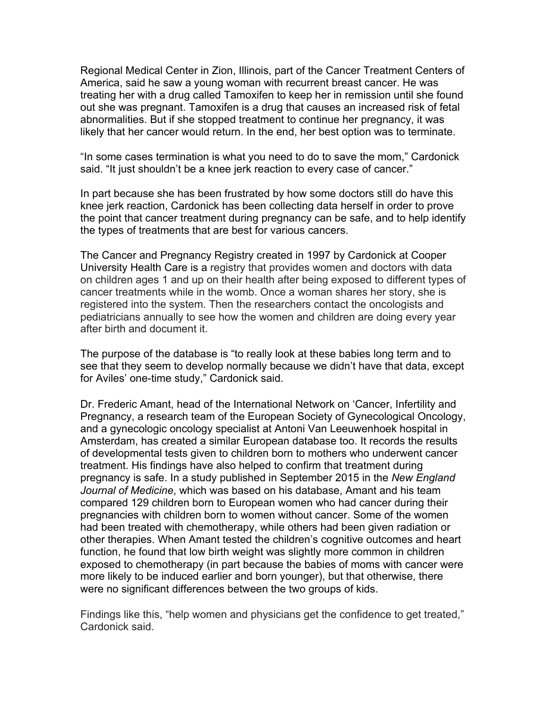Regional Medical Center in Zion, Illinois, part of the Cancer Treatment Centers of America, said he saw a young woman with recurrent breast cancer. He was treating her with a drug called Tamoxifen to keep her in remission until she found out she was pregnant. Tamoxifen is a drug that causes an increased risk of fetal abnormalities. But if she stopped treatment to continue her pregnancy, it was likely that her cancer would return. In the end, her best option was to terminate.

"In some cases termination is what you need to do to save the mom," Cardonick said. "It just shouldn't be a knee jerk reaction to every case of cancer."

In part because she has been frustrated by how some doctors still do have this knee jerk reaction, Cardonick has been collecting data herself in order to prove the point that cancer treatment during pregnancy can be safe, and to help identify the types of treatments that are best for various cancers.

The Cancer and Pregnancy Registry created in 1997 by Cardonick at Cooper University Health Care is a registry that provides women and doctors with data on children ages 1 and up on their health after being exposed to different types of cancer treatments while in the womb. Once a woman shares her story, she is registered into the system. Then the researchers contact the oncologists and pediatricians annually to see how the women and children are doing every year after birth and document it.

The purpose of the database is "to really look at these babies long term and to see that they seem to develop normally because we didn't have that data, except for Aviles' one-time study," Cardonick said.

Dr. Frederic Amant, head of the International Network on 'Cancer, Infertility and Pregnancy, a research team of the European Society of Gynecological Oncology, and a gynecologic oncology specialist at Antoni Van Leeuwenhoek hospital in Amsterdam, has created a similar European database too. It records the results of developmental tests given to children born to mothers who underwent cancer treatment. His findings have also helped to confirm that treatment during pregnancy is safe. In a study published in September 2015 in the *New England Journal of Medicine*, which was based on his database, Amant and his team compared 129 children born to European women who had cancer during their pregnancies with children born to women without cancer. Some of the women had been treated with chemotherapy, while others had been given radiation or other therapies. When Amant tested the children's cognitive outcomes and heart function, he found that low birth weight was slightly more common in children exposed to chemotherapy (in part because the babies of moms with cancer were more likely to be induced earlier and born younger), but that otherwise, there were no significant differences between the two groups of kids.

Findings like this, "help women and physicians get the confidence to get treated," Cardonick said.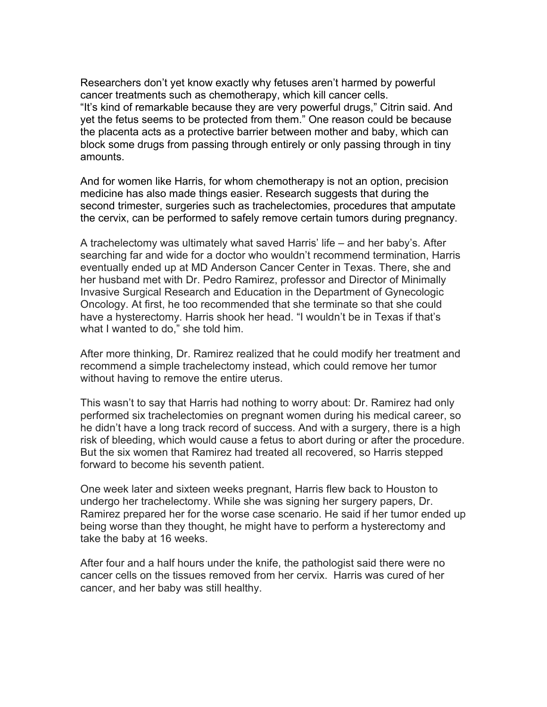Researchers don't yet know exactly why fetuses aren't harmed by powerful cancer treatments such as chemotherapy, which kill cancer cells. "It's kind of remarkable because they are very powerful drugs," Citrin said. And yet the fetus seems to be protected from them." One reason could be because the placenta acts as a protective barrier between mother and baby, which can block some drugs from passing through entirely or only passing through in tiny amounts.

And for women like Harris, for whom chemotherapy is not an option, precision medicine has also made things easier. Research suggests that during the second trimester, surgeries such as trachelectomies, procedures that amputate the cervix, can be performed to safely remove certain tumors during pregnancy.

A trachelectomy was ultimately what saved Harris' life – and her baby's. After searching far and wide for a doctor who wouldn't recommend termination, Harris eventually ended up at MD Anderson Cancer Center in Texas. There, she and her husband met with Dr. Pedro Ramirez, professor and Director of Minimally Invasive Surgical Research and Education in the Department of Gynecologic Oncology. At first, he too recommended that she terminate so that she could have a hysterectomy. Harris shook her head. "I wouldn't be in Texas if that's what I wanted to do," she told him.

After more thinking, Dr. Ramirez realized that he could modify her treatment and recommend a simple trachelectomy instead, which could remove her tumor without having to remove the entire uterus.

This wasn't to say that Harris had nothing to worry about: Dr. Ramirez had only performed six trachelectomies on pregnant women during his medical career, so he didn't have a long track record of success. And with a surgery, there is a high risk of bleeding, which would cause a fetus to abort during or after the procedure. But the six women that Ramirez had treated all recovered, so Harris stepped forward to become his seventh patient.

One week later and sixteen weeks pregnant, Harris flew back to Houston to undergo her trachelectomy. While she was signing her surgery papers, Dr. Ramirez prepared her for the worse case scenario. He said if her tumor ended up being worse than they thought, he might have to perform a hysterectomy and take the baby at 16 weeks.

After four and a half hours under the knife, the pathologist said there were no cancer cells on the tissues removed from her cervix. Harris was cured of her cancer, and her baby was still healthy.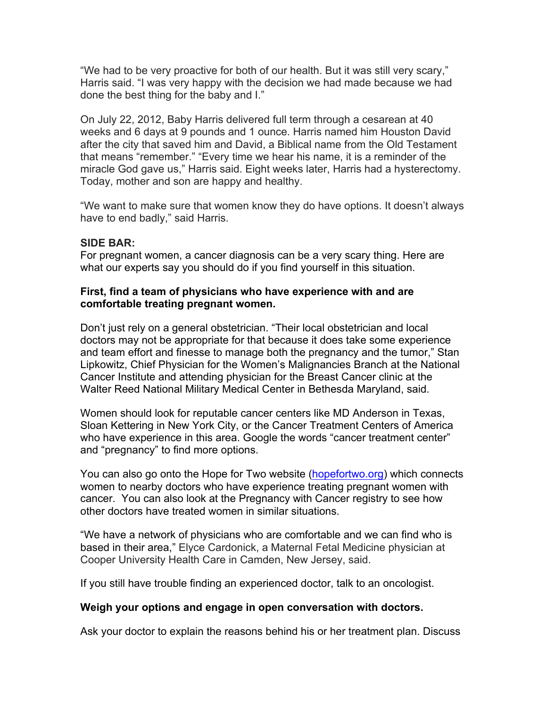"We had to be very proactive for both of our health. But it was still very scary," Harris said. "I was very happy with the decision we had made because we had done the best thing for the baby and I."

On July 22, 2012, Baby Harris delivered full term through a cesarean at 40 weeks and 6 days at 9 pounds and 1 ounce. Harris named him Houston David after the city that saved him and David, a Biblical name from the Old Testament that means "remember." "Every time we hear his name, it is a reminder of the miracle God gave us," Harris said. Eight weeks later, Harris had a hysterectomy. Today, mother and son are happy and healthy.

"We want to make sure that women know they do have options. It doesn't always have to end badly," said Harris.

## **SIDE BAR:**

For pregnant women, a cancer diagnosis can be a very scary thing. Here are what our experts say you should do if you find yourself in this situation.

#### **First, find a team of physicians who have experience with and are comfortable treating pregnant women.**

Don't just rely on a general obstetrician. "Their local obstetrician and local doctors may not be appropriate for that because it does take some experience and team effort and finesse to manage both the pregnancy and the tumor," Stan Lipkowitz, Chief Physician for the Women's Malignancies Branch at the National Cancer Institute and attending physician for the Breast Cancer clinic at the Walter Reed National Military Medical Center in Bethesda Maryland, said.

Women should look for reputable cancer centers like MD Anderson in Texas, Sloan Kettering in New York City, or the Cancer Treatment Centers of America who have experience in this area. Google the words "cancer treatment center" and "pregnancy" to find more options.

You can also go onto the Hope for Two website (hopefortwo.org) which connects women to nearby doctors who have experience treating pregnant women with cancer. You can also look at the Pregnancy with Cancer registry to see how other doctors have treated women in similar situations.

"We have a network of physicians who are comfortable and we can find who is based in their area," Elyce Cardonick, a Maternal Fetal Medicine physician at Cooper University Health Care in Camden, New Jersey, said.

If you still have trouble finding an experienced doctor, talk to an oncologist.

#### **Weigh your options and engage in open conversation with doctors.**

Ask your doctor to explain the reasons behind his or her treatment plan. Discuss